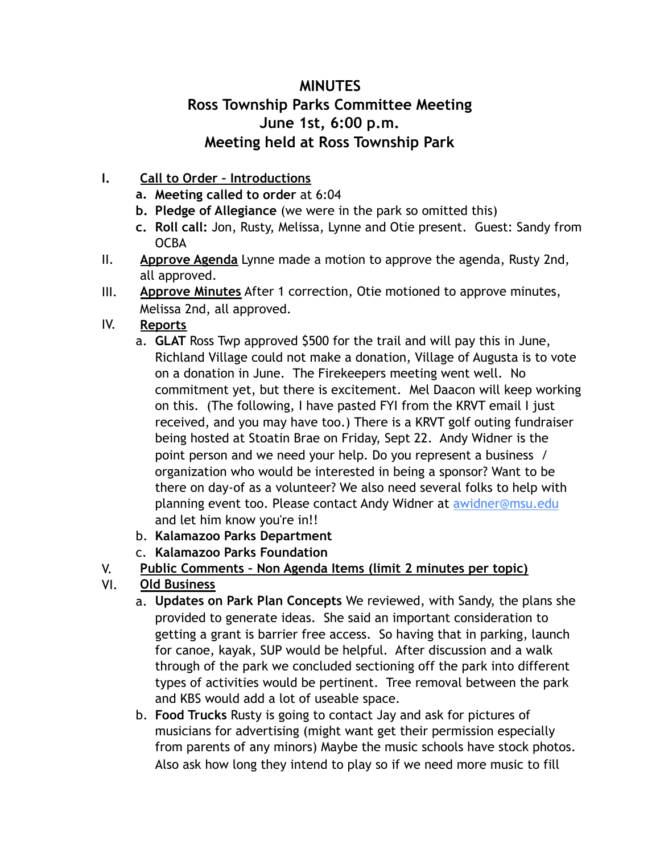## **MINUTES Ross Township Parks Committee Meeting June 1st, 6:00 p.m. Meeting held at Ross Township Park**

- **I. Call to Order Introductions** 
	- **a. Meeting called to order** at 6:04
	- **b. Pledge of Allegiance** (we were in the park so omitted this)
	- **c. Roll call:** Jon, Rusty, Melissa, Lynne and Otie present. Guest: Sandy from **OCBA**
- II. **Approve Agenda** Lynne made a motion to approve the agenda, Rusty 2nd, all approved.
- III. **Approve Minutes** After 1 correction, Otie motioned to approve minutes, Melissa 2nd, all approved.

## IV. **Reports**

- a. **GLAT** Ross Twp approved \$500 for the trail and will pay this in June, Richland Village could not make a donation, Village of Augusta is to vote on a donation in June. The Firekeepers meeting went well. No commitment yet, but there is excitement. Mel Daacon will keep working on this. (The following, I have pasted FYI from the KRVT email I just received, and you may have too.) There is a KRVT golf outing fundraiser being hosted at Stoatin Brae on Friday, Sept 22. Andy Widner is the point person and we need your help. Do you represent a business / organization who would be interested in being a sponsor? Want to be there on day-of as a volunteer? We also need several folks to help with planning event too. Please contact Andy Widner at [awidner@msu.edu](mailto:awidner@msu.edu) and let him know you're in!!
- b. **Kalamazoo Parks Department**
- c. **Kalamazoo Parks Foundation**

## V. **Public Comments – Non Agenda Items (limit 2 minutes per topic)**

- VI. **Old Business**
	- a. **Updates on Park Plan Concepts** We reviewed, with Sandy, the plans she provided to generate ideas. She said an important consideration to getting a grant is barrier free access. So having that in parking, launch for canoe, kayak, SUP would be helpful. After discussion and a walk through of the park we concluded sectioning off the park into different types of activities would be pertinent. Tree removal between the park and KBS would add a lot of useable space.
	- b. **Food Trucks** Rusty is going to contact Jay and ask for pictures of musicians for advertising (might want get their permission especially from parents of any minors) Maybe the music schools have stock photos. Also ask how long they intend to play so if we need more music to fill